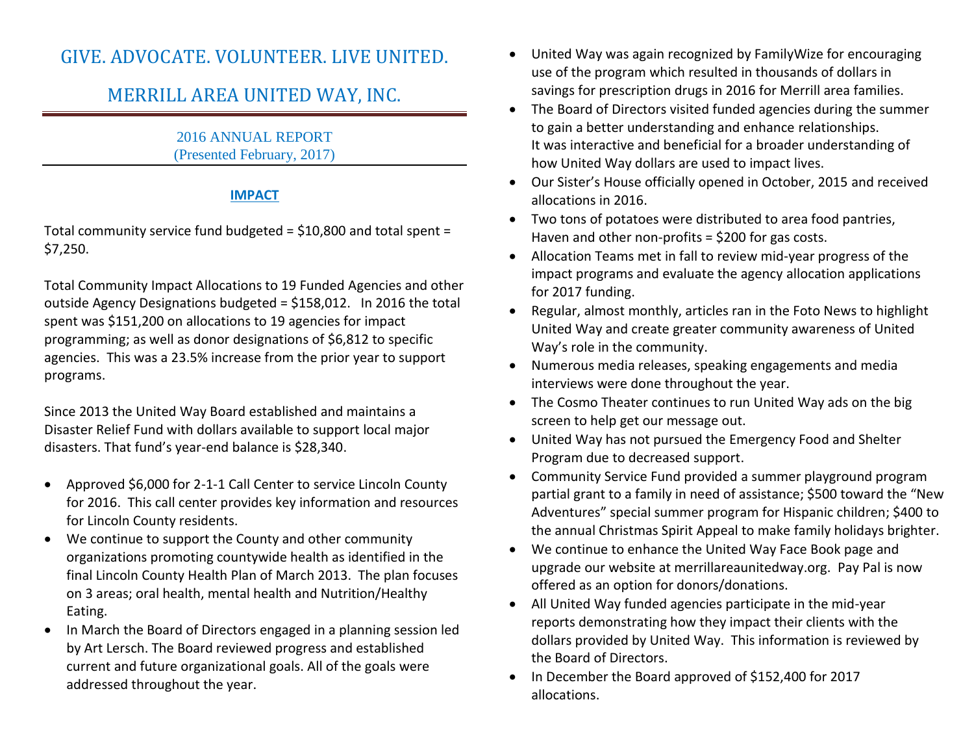# GIVE. ADVOCATE. VOLUNTEER. LIVE UNITED.

# MERRILL AREA UNITED WAY, INC.

2016 ANNUAL REPORT (Presented February, 2017)

# **IMPACT**

Total community service fund budgeted = \$10,800 and total spent = \$7,250.

Total Community Impact Allocations to 19 Funded Agencies and other outside Agency Designations budgeted = \$158,012. In 2016 the total spent was \$151,200 on allocations to 19 agencies for impact programming; as well as donor designations of \$6,812 to specific agencies. This was a 23.5% increase from the prior year to support programs.

Since 2013 the United Way Board established and maintains a Disaster Relief Fund with dollars available to support local major disasters. That fund's year-end balance is \$28,340.

- Approved \$6,000 for 2-1-1 Call Center to service Lincoln County for 2016. This call center provides key information and resources for Lincoln County residents.
- We continue to support the County and other community organizations promoting countywide health as identified in the final Lincoln County Health Plan of March 2013. The plan focuses on 3 areas; oral health, mental health and Nutrition/Healthy Eating.
- In March the Board of Directors engaged in a planning session led by Art Lersch. The Board reviewed progress and established current and future organizational goals. All of the goals were addressed throughout the year.
- United Way was again recognized by FamilyWize for encouraging use of the program which resulted in thousands of dollars in savings for prescription drugs in 2016 for Merrill area families.
- The Board of Directors visited funded agencies during the summer to gain a better understanding and enhance relationships. It was interactive and beneficial for a broader understanding of how United Way dollars are used to impact lives.
- Our Sister's House officially opened in October, 2015 and received allocations in 2016.
- Two tons of potatoes were distributed to area food pantries, Haven and other non-profits = \$200 for gas costs.
- Allocation Teams met in fall to review mid-year progress of the impact programs and evaluate the agency allocation applications for 2017 funding.
- Regular, almost monthly, articles ran in the Foto News to highlight United Way and create greater community awareness of United Way's role in the community.
- Numerous media releases, speaking engagements and media interviews were done throughout the year.
- The Cosmo Theater continues to run United Way ads on the big screen to help get our message out.
- United Way has not pursued the Emergency Food and Shelter Program due to decreased support.
- Community Service Fund provided a summer playground program partial grant to a family in need of assistance; \$500 toward the "New Adventures" special summer program for Hispanic children; \$400 to the annual Christmas Spirit Appeal to make family holidays brighter.
- We continue to enhance the United Way Face Book page and upgrade our website at merrillareaunitedway.org. Pay Pal is now offered as an option for donors/donations.
- All United Way funded agencies participate in the mid-year reports demonstrating how they impact their clients with the dollars provided by United Way. This information is reviewed by the Board of Directors.
- In December the Board approved of \$152,400 for 2017 allocations.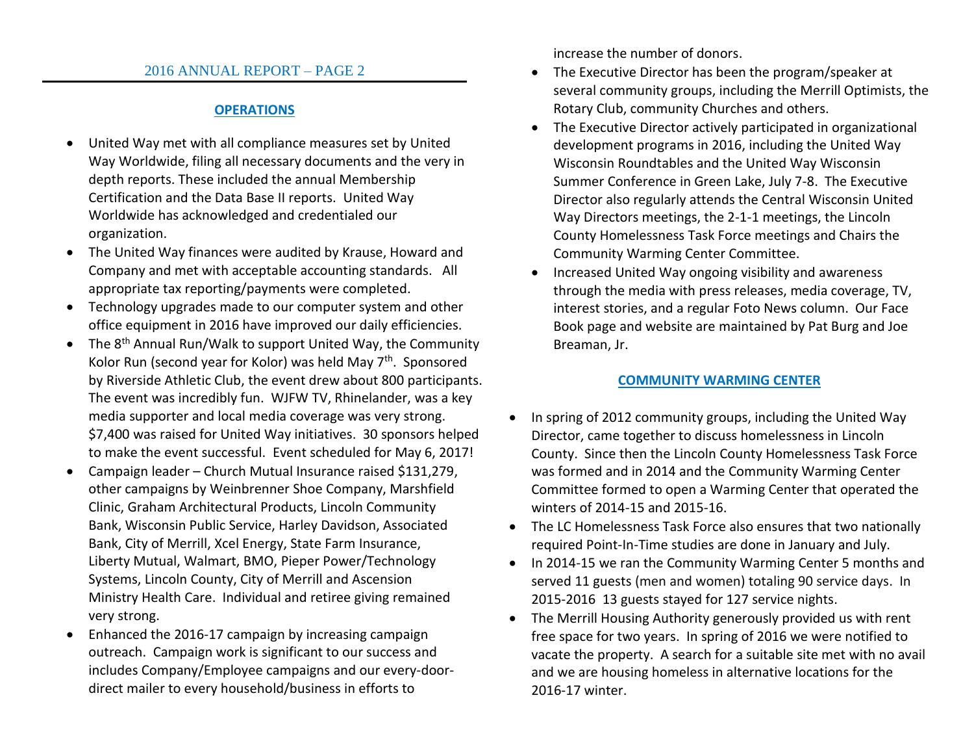## 2016 ANNUAL REPORT – PAGE 2

## **OPERATIONS**

- United Way met with all compliance measures set by United Way Worldwide, filing all necessary documents and the very in depth reports. These included the annual Membership Certification and the Data Base II reports. United Way Worldwide has acknowledged and credentialed our organization.
- The United Way finances were audited by Krause, Howard and Company and met with acceptable accounting standards. All appropriate tax reporting/payments were completed.
- Technology upgrades made to our computer system and other office equipment in 2016 have improved our daily efficiencies.
- The  $8<sup>th</sup>$  Annual Run/Walk to support United Way, the Community Kolor Run (second year for Kolor) was held May 7<sup>th</sup>. Sponsored by Riverside Athletic Club, the event drew about 800 participants. The event was incredibly fun. WJFW TV, Rhinelander, was a key media supporter and local media coverage was very strong. \$7,400 was raised for United Way initiatives. 30 sponsors helped to make the event successful. Event scheduled for May 6, 2017!
- Campaign leader Church Mutual Insurance raised \$131,279, other campaigns by Weinbrenner Shoe Company, Marshfield Clinic, Graham Architectural Products, Lincoln Community Bank, Wisconsin Public Service, Harley Davidson, Associated Bank, City of Merrill, Xcel Energy, State Farm Insurance, Liberty Mutual, Walmart, BMO, Pieper Power/Technology Systems, Lincoln County, City of Merrill and Ascension Ministry Health Care. Individual and retiree giving remained very strong.
- Enhanced the 2016-17 campaign by increasing campaign outreach. Campaign work is significant to our success and includes Company/Employee campaigns and our every-doordirect mailer to every household/business in efforts to

increase the number of donors.

- The Executive Director has been the program/speaker at several community groups, including the Merrill Optimists, the Rotary Club, community Churches and others.
- The Executive Director actively participated in organizational development programs in 2016, including the United Way Wisconsin Roundtables and the United Way Wisconsin Summer Conference in Green Lake, July 7-8. The Executive Director also regularly attends the Central Wisconsin United Way Directors meetings, the 2-1-1 meetings, the Lincoln County Homelessness Task Force meetings and Chairs the Community Warming Center Committee.
- Increased United Way ongoing visibility and awareness through the media with press releases, media coverage, TV, interest stories, and a regular Foto News column. Our Face Book page and website are maintained by Pat Burg and Joe Breaman, Jr.

# **COMMUNITY WARMING CENTER**

- In spring of 2012 community groups, including the United Way Director, came together to discuss homelessness in Lincoln County. Since then the Lincoln County Homelessness Task Force was formed and in 2014 and the Community Warming Center Committee formed to open a Warming Center that operated the winters of 2014-15 and 2015-16.
- The LC Homelessness Task Force also ensures that two nationally required Point-In-Time studies are done in January and July.
- In 2014-15 we ran the Community Warming Center 5 months and served 11 guests (men and women) totaling 90 service days. In 2015-2016 13 guests stayed for 127 service nights.
- The Merrill Housing Authority generously provided us with rent free space for two years. In spring of 2016 we were notified to vacate the property. A search for a suitable site met with no avail and we are housing homeless in alternative locations for the 2016-17 winter.